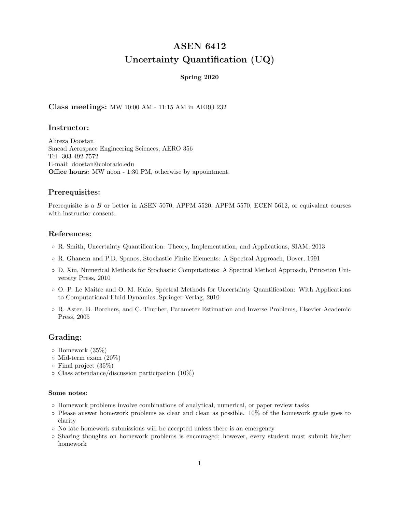# ASEN 6412 Uncertainty Quantification (UQ)

### Spring 2020

Class meetings: MW 10:00 AM - 11:15 AM in AERO 232

# Instructor:

Alireza Doostan Smead Aerospace Engineering Sciences, AERO 356 Tel: 303-492-7572 E-mail: doostan@colorado.edu Office hours: MW noon - 1:30 PM, otherwise by appointment.

# Prerequisites:

Prerequisite is a B or better in ASEN 5070, APPM 5520, APPM 5570, ECEN 5612, or equivalent courses with instructor consent.

## References:

- R. Smith, Uncertainty Quantification: Theory, Implementation, and Applications, SIAM, 2013
- R. Ghanem and P.D. Spanos, Stochastic Finite Elements: A Spectral Approach, Dover, 1991
- D. Xiu, Numerical Methods for Stochastic Computations: A Spectral Method Approach, Princeton University Press, 2010
- O. P. Le Maitre and O. M. Knio, Spectral Methods for Uncertainty Quantification: With Applications to Computational Fluid Dynamics, Springer Verlag, 2010
- R. Aster, B. Borchers, and C. Thurber, Parameter Estimation and Inverse Problems, Elsevier Academic Press, 2005

# Grading:

- Homework (35%)
- Mid-term exam (20%)
- Final project (35%)
- Class attendance/discussion participation (10%)

#### Some notes:

- Homework problems involve combinations of analytical, numerical, or paper review tasks
- Please answer homework problems as clear and clean as possible. 10% of the homework grade goes to clarity
- No late homework submissions will be accepted unless there is an emergency
- Sharing thoughts on homework problems is encouraged; however, every student must submit his/her homework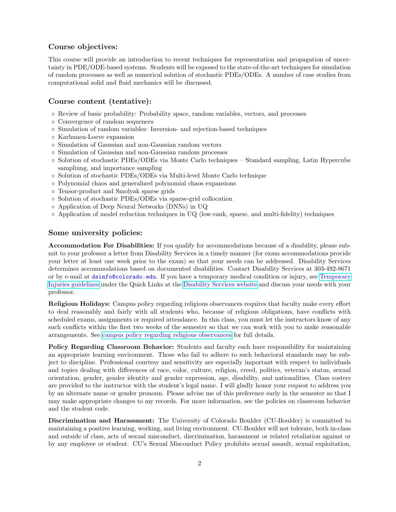## Course objectives:

This course will provide an introduction to recent techniques for representation and propagation of uncertainty in PDE/ODE-based systems. Students will be exposed to the state-of-the-art techniques for simulation of random processes as well as numerical solution of stochastic PDEs/ODEs. A number of case studies from computational solid and fluid mechanics will be discussed.

## Course content (tentative):

- Review of basic probability: Probability space, random variables, vectors, and processes
- Convergence of random sequences
- Simulation of random variables: Inversion- and rejection-based techniques
- Karhunen-Loeve expansion
- Simulation of Gaussian and non-Gaussian random vectors
- Simulation of Gaussian and non-Gaussian random processes
- Solution of stochastic PDEs/ODEs via Monte Carlo techniques Standard sampling, Latin Hypercube sampliung, and importance sampling
- Solution of stochastic PDEs/ODEs via Multi-level Monte Carlo technique
- Polynomial chaos and generalized polynomial chaos expansions
- Tensor-product and Smolyak sparse grids
- Solution of stochastic PDEs/ODEs via sparse-grid collocation
- Application of Deep Neural Networks (DNNs) in UQ
- Application of model reduction techniques in UQ (low-rank, sparse, and multi-fidelity) techniques

### Some university policies:

Accommodation For Disabilities: If you qualify for accommodations because of a disability, please submit to your professor a letter from Disability Services in a timely manner (for exam accommodations provide your letter at least one week prior to the exam) so that your needs can be addressed. Disability Services determines accommodations based on documented disabilities. Contact Disability Services at 303-492-8671 or by e-mail at dsinfo@colorado.edu. If you have a temporary medical condition or injury, see [Temporary](http://www.colorado.edu/disabilityservices/students/temporary-medical-conditions) [Injuries guidelines](http://www.colorado.edu/disabilityservices/students/temporary-medical-conditions) under the Quick Links at the [Disability Services website](http://www.colorado.edu/disabilityservices/) and discuss your needs with your professor.

Religious Holidays: Campus policy regarding religious observances requires that faculty make every effort to deal reasonably and fairly with all students who, because of religious obligations, have conflicts with scheduled exams, assignments or required attendance. In this class, you must let the instructors know of any such conflicts within the first two weeks of the semester so that we can work with you to make reasonable arrangements. See [campus policy regarding religious observances](http://www.colorado.edu/policies/observance-religious-holidays-and-absences-classes-andor-exams) for full details.

Policy Regarding Classroom Behavior: Students and faculty each have responsibility for maintaining an appropriate learning environment. Those who fail to adhere to such behavioral standards may be subject to discipline. Professional courtesy and sensitivity are especially important with respect to individuals and topics dealing with differences of race, color, culture, religion, creed, politics, veteran's status, sexual orientation, gender, gender identity and gender expression, age, disability, and nationalities. Class rosters are provided to the instructor with the student's legal name. I will gladly honor your request to address you by an alternate name or gender pronoun. Please advise me of this preference early in the semester so that I may make appropriate changes to my records. For more information, see the policies on classroom behavior and the student code.

Discrimination and Harassment: The University of Colorado Boulder (CU-Boulder) is committed to maintaining a positive learning, working, and living environment. CU-Boulder will not tolerate, both in-class and outside of class, acts of sexual misconduct, discrimination, harassment or related retaliation against or by any employee or student. CU's Sexual Misconduct Policy prohibits sexual assault, sexual exploitation,